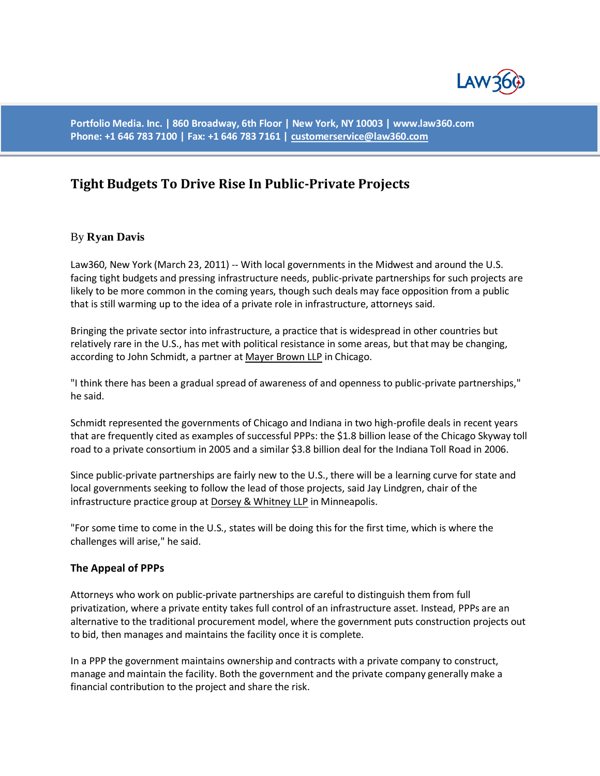

**Portfolio Media. Inc. | 860 Broadway, 6th Floor | New York, NY 10003 | www.law360.com Phone: +1 646 783 7100 | Fax: +1 646 783 7161 [| customerservice@law360.com](mailto:customerservice@law360.com)**

# **Tight Budgets To Drive Rise In Public-Private Projects**

## By **Ryan Davis**

Law360, New York (March 23, 2011) -- With local governments in the Midwest and around the U.S. facing tight budgets and pressing infrastructure needs, public-private partnerships for such projects are likely to be more common in the coming years, though such deals may face opposition from a public that is still warming up to the idea of a private role in infrastructure, attorneys said.

Bringing the private sector into infrastructure, a practice that is widespread in other countries but relatively rare in the U.S., has met with political resistance in some areas, but that may be changing, according to John Schmidt, a partner at [Mayer Brown LLP](http://www.law360.com/firm/mayer-brown) in Chicago.

"I think there has been a gradual spread of awareness of and openness to public-private partnerships," he said.

Schmidt represented the governments of Chicago and Indiana in two high-profile deals in recent years that are frequently cited as examples of successful PPPs: the \$1.8 billion lease of the Chicago Skyway toll road to a private consortium in 2005 and a similar \$3.8 billion deal for the Indiana Toll Road in 2006.

Since public-private partnerships are fairly new to the U.S., there will be a learning curve for state and local governments seeking to follow the lead of those projects, said Jay Lindgren, chair of the infrastructure practice group at [Dorsey & Whitney LLP](http://www.law360.com/firm/dorsey-whitney) in Minneapolis.

"For some time to come in the U.S., states will be doing this for the first time, which is where the challenges will arise," he said.

#### **The Appeal of PPPs**

Attorneys who work on public-private partnerships are careful to distinguish them from full privatization, where a private entity takes full control of an infrastructure asset. Instead, PPPs are an alternative to the traditional procurement model, where the government puts construction projects out to bid, then manages and maintains the facility once it is complete.

In a PPP the government maintains ownership and contracts with a private company to construct, manage and maintain the facility. Both the government and the private company generally make a financial contribution to the project and share the risk.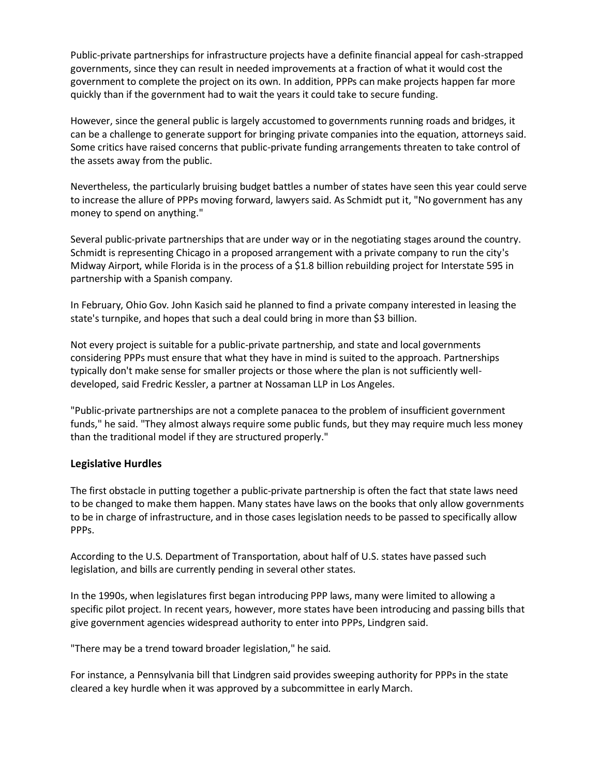Public-private partnerships for infrastructure projects have a definite financial appeal for cash-strapped governments, since they can result in needed improvements at a fraction of what it would cost the government to complete the project on its own. In addition, PPPs can make projects happen far more quickly than if the government had to wait the years it could take to secure funding.

However, since the general public is largely accustomed to governments running roads and bridges, it can be a challenge to generate support for bringing private companies into the equation, attorneys said. Some critics have raised concerns that public-private funding arrangements threaten to take control of the assets away from the public.

Nevertheless, the particularly bruising budget battles a number of states have seen this year could serve to increase the allure of PPPs moving forward, lawyers said. As Schmidt put it, "No government has any money to spend on anything."

Several public-private partnerships that are under way or in the negotiating stages around the country. Schmidt is representing Chicago in a proposed arrangement with a private company to run the city's Midway Airport, while Florida is in the process of a \$1.8 billion rebuilding project for Interstate 595 in partnership with a Spanish company.

In February, Ohio Gov. John Kasich said he planned to find a private company interested in leasing the state's turnpike, and hopes that such a deal could bring in more than \$3 billion.

Not every project is suitable for a public-private partnership, and state and local governments considering PPPs must ensure that what they have in mind is suited to the approach. Partnerships typically don't make sense for smaller projects or those where the plan is not sufficiently welldeveloped, said Fredric Kessler, a partner at Nossaman LLP in Los Angeles.

"Public-private partnerships are not a complete panacea to the problem of insufficient government funds," he said. "They almost always require some public funds, but they may require much less money than the traditional model if they are structured properly."

## **Legislative Hurdles**

The first obstacle in putting together a public-private partnership is often the fact that state laws need to be changed to make them happen. Many states have laws on the books that only allow governments to be in charge of infrastructure, and in those cases legislation needs to be passed to specifically allow PPPs.

According to the U.S. Department of Transportation, about half of U.S. states have passed such legislation, and bills are currently pending in several other states.

In the 1990s, when legislatures first began introducing PPP laws, many were limited to allowing a specific pilot project. In recent years, however, more states have been introducing and passing bills that give government agencies widespread authority to enter into PPPs, Lindgren said.

"There may be a trend toward broader legislation," he said.

For instance, a Pennsylvania bill that Lindgren said provides sweeping authority for PPPs in the state cleared a key hurdle when it was approved by a subcommittee in early March.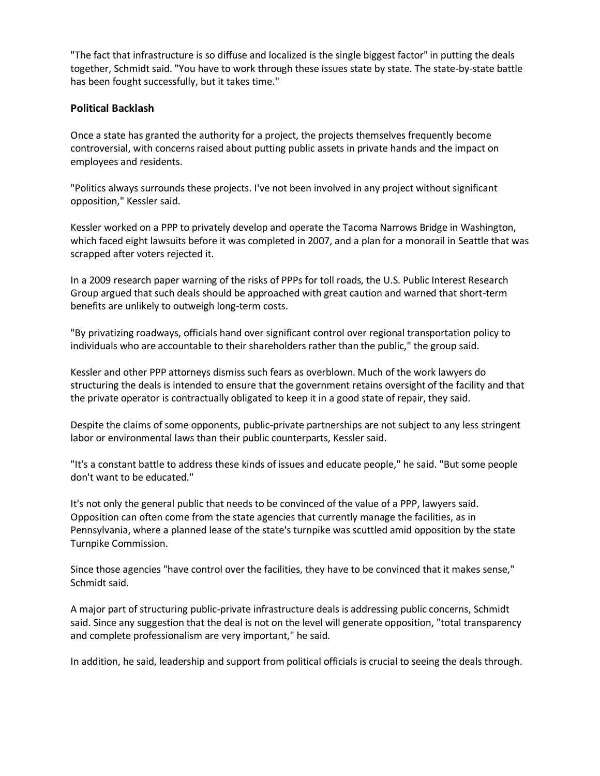"The fact that infrastructure is so diffuse and localized is the single biggest factor" in putting the deals together, Schmidt said. "You have to work through these issues state by state. The state-by-state battle has been fought successfully, but it takes time."

### **Political Backlash**

Once a state has granted the authority for a project, the projects themselves frequently become controversial, with concerns raised about putting public assets in private hands and the impact on employees and residents.

"Politics always surrounds these projects. I've not been involved in any project without significant opposition," Kessler said.

Kessler worked on a PPP to privately develop and operate the Tacoma Narrows Bridge in Washington, which faced eight lawsuits before it was completed in 2007, and a plan for a monorail in Seattle that was scrapped after voters rejected it.

In a 2009 research paper warning of the risks of PPPs for toll roads, the U.S. Public Interest Research Group argued that such deals should be approached with great caution and warned that short-term benefits are unlikely to outweigh long-term costs.

"By privatizing roadways, officials hand over significant control over regional transportation policy to individuals who are accountable to their shareholders rather than the public," the group said.

Kessler and other PPP attorneys dismiss such fears as overblown. Much of the work lawyers do structuring the deals is intended to ensure that the government retains oversight of the facility and that the private operator is contractually obligated to keep it in a good state of repair, they said.

Despite the claims of some opponents, public-private partnerships are not subject to any less stringent labor or environmental laws than their public counterparts, Kessler said.

"It's a constant battle to address these kinds of issues and educate people," he said. "But some people don't want to be educated."

It's not only the general public that needs to be convinced of the value of a PPP, lawyers said. Opposition can often come from the state agencies that currently manage the facilities, as in Pennsylvania, where a planned lease of the state's turnpike was scuttled amid opposition by the state Turnpike Commission.

Since those agencies "have control over the facilities, they have to be convinced that it makes sense," Schmidt said.

A major part of structuring public-private infrastructure deals is addressing public concerns, Schmidt said. Since any suggestion that the deal is not on the level will generate opposition, "total transparency and complete professionalism are very important," he said.

In addition, he said, leadership and support from political officials is crucial to seeing the deals through.